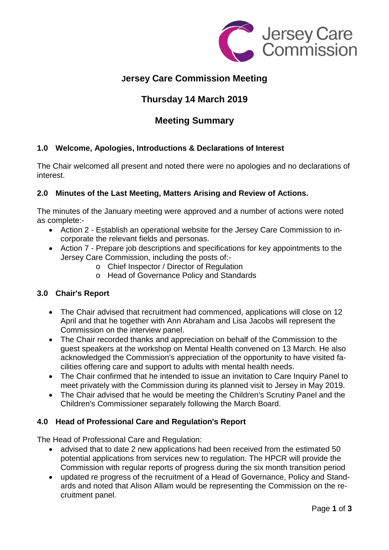

## **Jersey Care Commission Meeting**

# **Thursday 14 March 2019**

## **Meeting Summary**

## **1.0 Welcome, Apologies, Introductions & Declarations of Interest**

The Chair welcomed all present and noted there were no apologies and no declarations of interest.

## **2.0 Minutes of the Last Meeting, Matters Arising and Review of Actions.**

The minutes of the January meeting were approved and a number of actions were noted as complete:-

- Action 2 Establish an operational website for the Jersey Care Commission to incorporate the relevant fields and personas.
- Action 7 Prepare job descriptions and specifications for key appointments to the Jersey Care Commission, including the posts of:
	- o Chief Inspector / Director of Regulation
	- o Head of Governance Policy and Standards

## **3.0 Chair's Report**

- The Chair advised that recruitment had commenced, applications will close on 12 April and that he together with Ann Abraham and Lisa Jacobs will represent the Commission on the interview panel.
- The Chair recorded thanks and appreciation on behalf of the Commission to the guest speakers at the workshop on Mental Health convened on 13 March. He also acknowledged the Commission's appreciation of the opportunity to have visited facilities offering care and support to adults with mental health needs.
- The Chair confirmed that he intended to issue an invitation to Care Inquiry Panel to meet privately with the Commission during its planned visit to Jersey in May 2019.
- The Chair advised that he would be meeting the Children's Scrutiny Panel and the Children's Commissioner separately following the March Board.

## **4.0 Head of Professional Care and Regulation's Report**

The Head of Professional Care and Regulation:

- advised that to date 2 new applications had been received from the estimated 50 potential applications from services new to regulation. The HPCR will provide the Commission with regular reports of progress during the six month transition period
- updated re progress of the recruitment of a Head of Governance, Policy and Standards and noted that Alison Allam would be representing the Commission on the recruitment panel.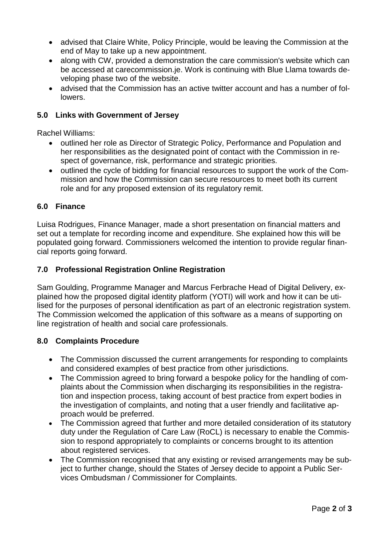- advised that Claire White, Policy Principle, would be leaving the Commission at the end of May to take up a new appointment.
- along with CW, provided a demonstration the care commission's website which can be accessed at carecommission.je. Work is continuing with Blue Llama towards developing phase two of the website.
- advised that the Commission has an active twitter account and has a number of followers.

#### **5.0 Links with Government of Jersey**

Rachel Williams:

- outlined her role as Director of Strategic Policy, Performance and Population and her responsibilities as the designated point of contact with the Commission in respect of governance, risk, performance and strategic priorities.
- outlined the cycle of bidding for financial resources to support the work of the Commission and how the Commission can secure resources to meet both its current role and for any proposed extension of its regulatory remit.

#### **6.0 Finance**

Luisa Rodrigues, Finance Manager, made a short presentation on financial matters and set out a template for recording income and expenditure. She explained how this will be populated going forward. Commissioners welcomed the intention to provide regular financial reports going forward.

#### **7.0 Professional Registration Online Registration**

Sam Goulding, Programme Manager and Marcus Ferbrache Head of Digital Delivery, explained how the proposed digital identity platform (YOTI) will work and how it can be utilised for the purposes of personal identification as part of an electronic registration system. The Commission welcomed the application of this software as a means of supporting on line registration of health and social care professionals.

#### **8.0 Complaints Procedure**

- The Commission discussed the current arrangements for responding to complaints and considered examples of best practice from other jurisdictions.
- The Commission agreed to bring forward a bespoke policy for the handling of complaints about the Commission when discharging its responsibilities in the registration and inspection process, taking account of best practice from expert bodies in the investigation of complaints, and noting that a user friendly and facilitative approach would be preferred.
- The Commission agreed that further and more detailed consideration of its statutory duty under the Regulation of Care Law (RoCL) is necessary to enable the Commission to respond appropriately to complaints or concerns brought to its attention about registered services.
- The Commission recognised that any existing or revised arrangements may be subject to further change, should the States of Jersey decide to appoint a Public Services Ombudsman / Commissioner for Complaints.